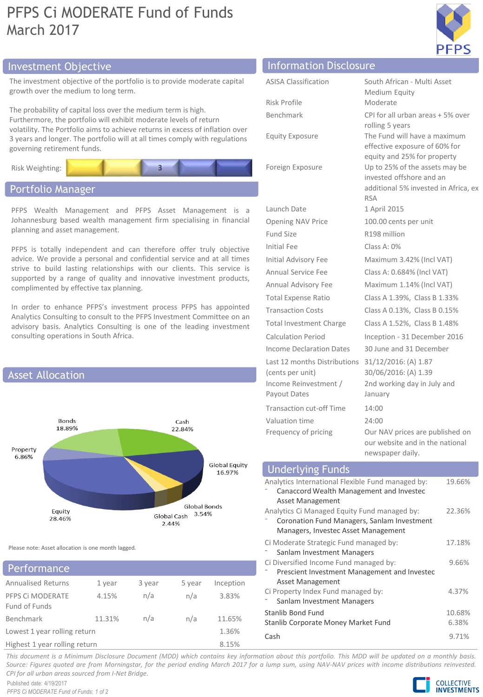# PFPS Ci MODERATE Fund of Funds March 2017



# Investment Objective Information Disclosure

The investment objective of the portfolio is to provide moderate capital growth over the medium to long term.

The probability of capital loss over the medium term is high. Furthermore, the portfolio will exhibit moderate levels of return volatility. The Portfolio aims to achieve returns in excess of inflation over 3 years and longer. The portfolio will at all times comply with regulations governing retirement funds.



## Portfolio Manager

PFPS Wealth Management and PFPS Asset Management is a Johannesburg based wealth management firm specialising in financial planning and asset management.

PFPS is totally independent and can therefore offer truly objective advice. We provide a personal and confidential service and at all times strive to build lasting relationships with our clients. This service is supported by a range of quality and innovative investment products, complimented by effective tax planning.

In order to enhance PFPS's investment process PFPS has appointed Analytics Consulting to consult to the PFPS Investment Committee on an advisory basis. Analytics Consulting is one of the leading investment consulting operations in South Africa.



Please note: Asset allocation is one month lagged.

## Annualised Returns 1 year 3 year 5 year Inception PFPS Ci MODERATE Fund of Funds 4.15% n/a n/a 3.83% Benchmark 11.31% n/a n/a 11.65% Lowest 1 year rolling return 1.36% Highest 1 year rolling return 8.15% **Performance**

| mondation pisclosale            |                                                                    |
|---------------------------------|--------------------------------------------------------------------|
| <b>ASISA Classification</b>     | South African - Multi Asset                                        |
|                                 | Medium Equity                                                      |
| Risk Profile                    | Moderate                                                           |
| Benchmark                       | CPI for all urban areas + 5% over                                  |
|                                 | rolling 5 years                                                    |
| <b>Equity Exposure</b>          | The Fund will have a maximum<br>effective exposure of 60% for      |
|                                 | equity and 25% for property                                        |
| Foreign Exposure                | Up to 25% of the assets may be                                     |
|                                 | invested offshore and an                                           |
|                                 | additional 5% invested in Africa, ex<br><b>RSA</b>                 |
| Launch Date                     | 1 April 2015                                                       |
| <b>Opening NAV Price</b>        | 100.00 cents per unit                                              |
| <b>Fund Size</b>                | R198 million                                                       |
| <b>Initial Fee</b>              | Class A: 0%                                                        |
| <b>Initial Advisory Fee</b>     | Maximum 3.42% (Incl VAT)                                           |
| Annual Service Fee              | Class A: 0.684% (Incl VAT)                                         |
| Annual Advisory Fee             | Maximum 1.14% (Incl VAT)                                           |
| <b>Total Expense Ratio</b>      | Class A 1.39%, Class B 1.33%                                       |
| <b>Transaction Costs</b>        | Class A 0.13%, Class B 0.15%                                       |
| <b>Total Investment Charge</b>  | Class A 1.52%, Class B 1.48%                                       |
| <b>Calculation Period</b>       | Inception - 31 December 2016                                       |
| <b>Income Declaration Dates</b> | 30 June and 31 December                                            |
| Last 12 months Distributions    | 31/12/2016: (A) 1.87                                               |
| (cents per unit)                | 30/06/2016: (A) 1.39                                               |
| Income Reinvestment /           | 2nd working day in July and                                        |
| Payout Dates                    | January                                                            |
| <b>Transaction cut-off Time</b> | 14:00                                                              |
| Valuation time                  | 24:00                                                              |
| Frequency of pricing            | Our NAV prices are published on<br>our website and in the national |
|                                 | newspaper daily.                                                   |

| <b>Underlying Funds</b>                                                                                                                                       |                 |
|---------------------------------------------------------------------------------------------------------------------------------------------------------------|-----------------|
| Analytics International Flexible Fund managed by:<br>Canaccord Wealth Management and Investec                                                                 | 19.66%          |
| <b>Asset Management</b><br>Analytics Ci Managed Equity Fund managed by:<br>Coronation Fund Managers, Sanlam Investment<br>Managers, Investec Asset Management | 22.36%          |
| Ci Moderate Strategic Fund managed by:<br>Sanlam Investment Managers                                                                                          | 17.18%          |
| Ci Diversified Income Fund managed by:<br>Prescient Investment Management and Investec<br><b>Asset Management</b>                                             | 9.66%           |
| Ci Property Index Fund managed by:<br>Sanlam Investment Managers                                                                                              | 4.37%           |
| Stanlib Bond Fund<br>Stanlib Corporate Money Market Fund                                                                                                      | 10.68%<br>6.38% |
| Cash                                                                                                                                                          | 9.71%           |

This document is a Minimum Disclosure Document (MDD) which contains key information about this portfolio. This MDD will be updated on a monthly basis. Source: Figures quoted are from Morningstar, for the period ending March 2017 for a lump sum, using NAV-NAV prices with income distributions reinvested. *CPI for all urban areas sourced from I-Net Bridge.*

Published date: 4/19/2017 *PFPS Ci MODERATE Fund of Funds: 1 of 2*